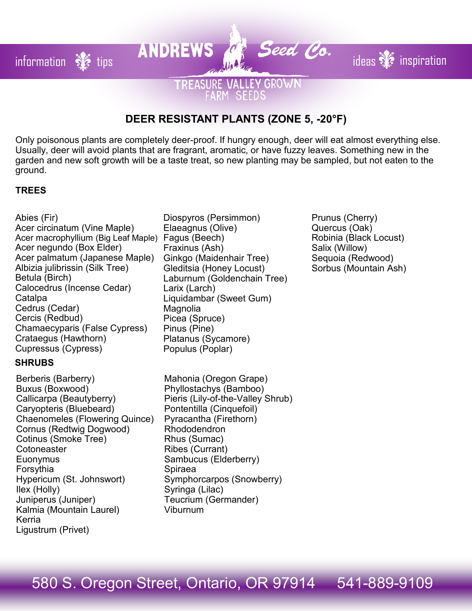# **DEER RESISTANT PLANTS (ZONE 5, -20°F)**

**TREASURE VALLEY GROWN** RM SEEDS

information  $\frac{1}{2}$  tips **ANDREWS**  $\frac{1}{2}$  **Seed Co.** ideas  $\frac{1}{2}$  inspiration

Only poisonous plants are completely deer-proof. If hungry enough, deer will eat almost everything else. Usually, deer will avoid plants that are fragrant, aromatic, or have fuzzy leaves. Something new in the garden and new soft growth will be a taste treat, so new planting may be sampled, but not eaten to the ground.

## **TREES**

Abies (Fir) Acer circinatum (Vine Maple) Acer macrophyllium (Big Leaf Maple) Fagus (Beech) Acer negundo (Box Elder) Acer palmatum (Japanese Maple) Albizia julibrissin (Silk Tree) Betula (Birch) Calocedrus (Incense Cedar) Catalpa Cedrus (Cedar) Cercis (Redbud) Chamaecyparis (False Cypress) Crataegus (Hawthorn) Cupressus (Cypress)

#### **SHRUBS**

Berberis (Barberry) Buxus (Boxwood) Callicarpa (Beautyberry) Caryopteris (Bluebeard) Chaenomeles (Flowering Quince) Cornus (Redtwig Dogwood) Cotinus (Smoke Tree) **Cotoneaster Euonymus** Forsythia Hypericum (St. Johnswort) Ilex (Holly) Juniperus (Juniper) Kalmia (Mountain Laurel) Kerria Ligustrum (Privet)

- Diospyros (Persimmon) Elaeagnus (Olive) Fraxinus (Ash) Ginkgo (Maidenhair Tree) Gleditsia (Honey Locust) Laburnum (Goldenchain Tree) Larix (Larch) Liquidambar (Sweet Gum) Magnolia Picea (Spruce) Pinus (Pine) Platanus (Sycamore) Populus (Poplar)
- Mahonia (Oregon Grape) Phyllostachys (Bamboo) Pieris (Lily-of-the-Valley Shrub) Pontentilla (Cinquefoil) Pyracantha (Firethorn) Rhododendron Rhus (Sumac) Ribes (Currant) Sambucus (Elderberry) Spiraea Symphorcarpos (Snowberry) Syringa (Lilac) Teucrium (Germander) Viburnum

Prunus (Cherry) Quercus (Oak) Robinia (Black Locust) Salix (Willow) Sequoia (Redwood) Sorbus (Mountain Ash)

# 580 S. Oregon Street, Ontario, OR 97914 541-889-9109